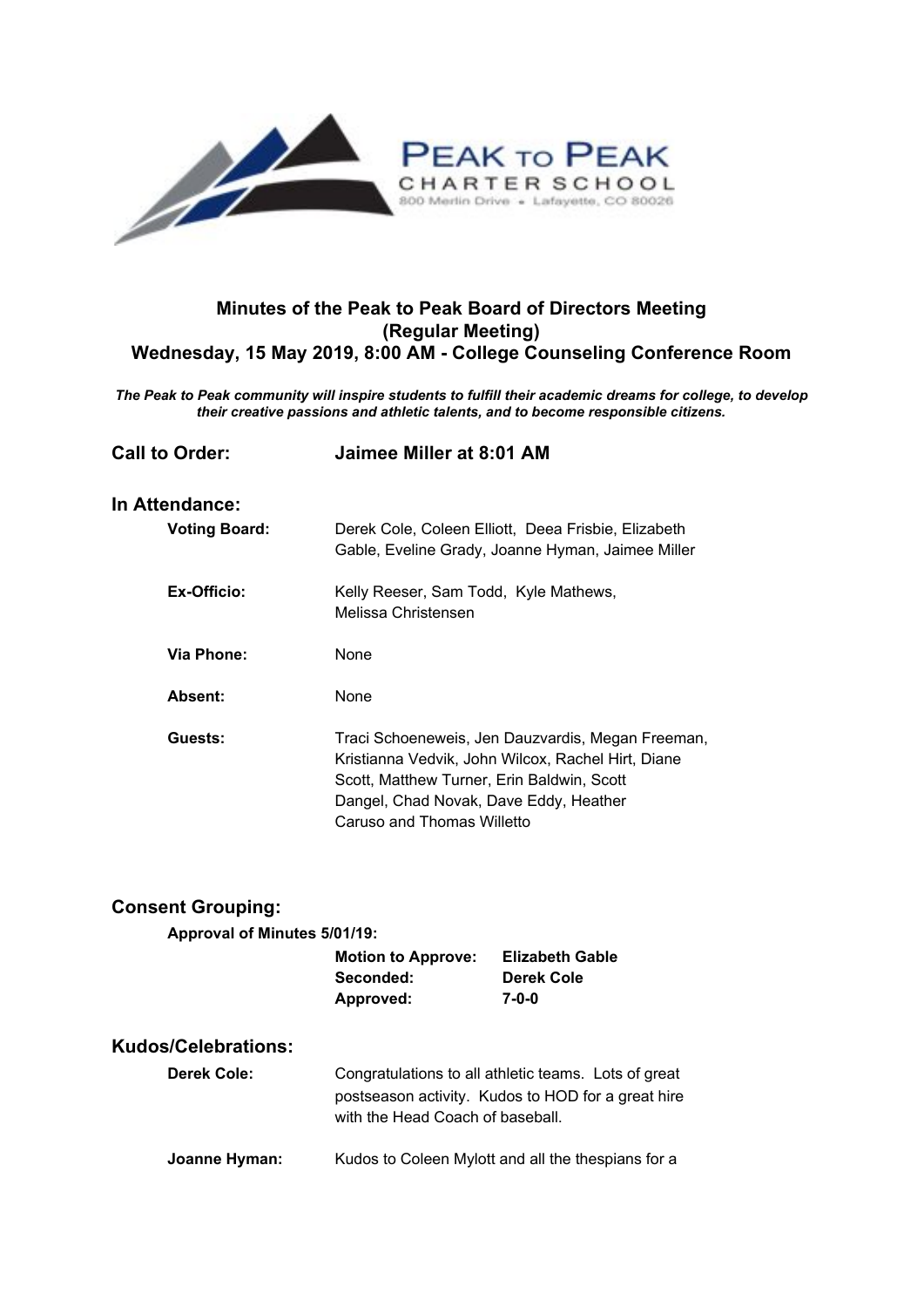

## **Minutes of the Peak to Peak Board of Directors Meeting (Regular Meeting) Wednesday, 15 May 2019, 8:00 AM - College Counseling Conference Room**

*The Peak to Peak community will inspire students to fulfill their academic dreams for college, to develop their creative passions and athletic talents, and to become responsible citizens.*

| <b>Call to Order:</b> | Jaimee Miller at 8:01 AM                                                                                                                                                                                                      |  |
|-----------------------|-------------------------------------------------------------------------------------------------------------------------------------------------------------------------------------------------------------------------------|--|
| In Attendance:        |                                                                                                                                                                                                                               |  |
| <b>Voting Board:</b>  | Derek Cole, Coleen Elliott, Deea Frisbie, Elizabeth<br>Gable, Eveline Grady, Joanne Hyman, Jaimee Miller                                                                                                                      |  |
| Ex-Officio:           | Kelly Reeser, Sam Todd, Kyle Mathews,<br>Melissa Christensen                                                                                                                                                                  |  |
| <b>Via Phone:</b>     | <b>None</b>                                                                                                                                                                                                                   |  |
| Absent:               | None                                                                                                                                                                                                                          |  |
| Guests:               | Traci Schoeneweis, Jen Dauzvardis, Megan Freeman,<br>Kristianna Vedvik, John Wilcox, Rachel Hirt, Diane<br>Scott, Matthew Turner, Erin Baldwin, Scott<br>Dangel, Chad Novak, Dave Eddy, Heather<br>Caruso and Thomas Willetto |  |

| <b>Consent Grouping:</b>     |                                                                                                                                                |                                               |  |
|------------------------------|------------------------------------------------------------------------------------------------------------------------------------------------|-----------------------------------------------|--|
| Approval of Minutes 5/01/19: |                                                                                                                                                |                                               |  |
|                              | <b>Motion to Approve:</b><br>Seconded:<br>Approved:                                                                                            | <b>Elizabeth Gable</b><br>Derek Cole<br>7-0-0 |  |
| <b>Kudos/Celebrations:</b>   |                                                                                                                                                |                                               |  |
| Derek Cole:                  | Congratulations to all athletic teams. Lots of great<br>postseason activity. Kudos to HOD for a great hire<br>with the Head Coach of baseball. |                                               |  |
| Joanne Hyman:                | Kudos to Coleen Mylott and all the thespians for a                                                                                             |                                               |  |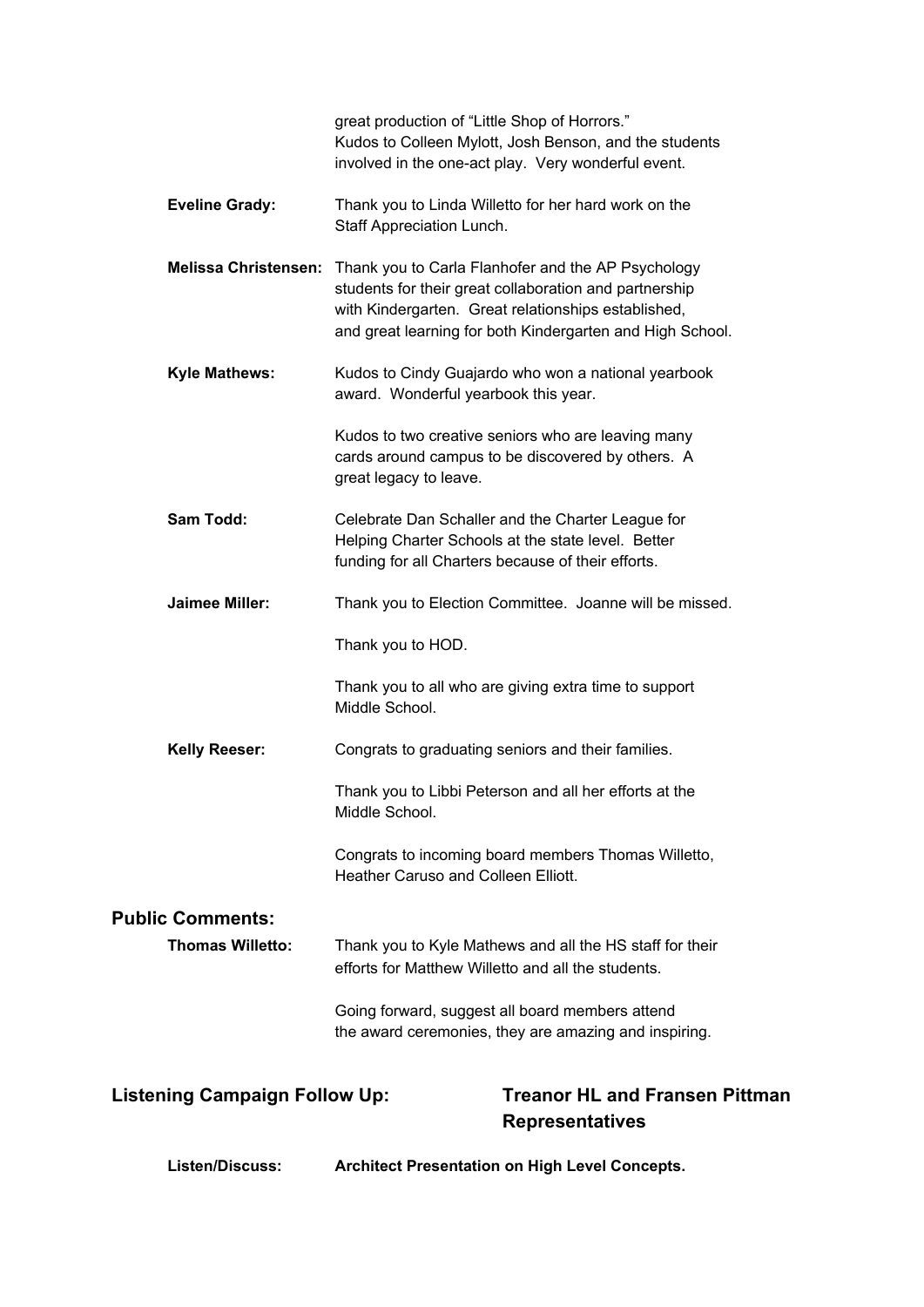|                                                                                                         | great production of "Little Shop of Horrors."<br>Kudos to Colleen Mylott, Josh Benson, and the students<br>involved in the one-act play. Very wonderful event.                                                                                        |  |  |
|---------------------------------------------------------------------------------------------------------|-------------------------------------------------------------------------------------------------------------------------------------------------------------------------------------------------------------------------------------------------------|--|--|
| <b>Eveline Grady:</b>                                                                                   | Thank you to Linda Willetto for her hard work on the<br>Staff Appreciation Lunch.                                                                                                                                                                     |  |  |
|                                                                                                         | Melissa Christensen: Thank you to Carla Flanhofer and the AP Psychology<br>students for their great collaboration and partnership<br>with Kindergarten. Great relationships established,<br>and great learning for both Kindergarten and High School. |  |  |
| <b>Kyle Mathews:</b>                                                                                    | Kudos to Cindy Guajardo who won a national yearbook<br>award. Wonderful yearbook this year.                                                                                                                                                           |  |  |
|                                                                                                         | Kudos to two creative seniors who are leaving many<br>cards around campus to be discovered by others. A<br>great legacy to leave.                                                                                                                     |  |  |
| <b>Sam Todd:</b>                                                                                        | Celebrate Dan Schaller and the Charter League for<br>Helping Charter Schools at the state level. Better<br>funding for all Charters because of their efforts.                                                                                         |  |  |
| <b>Jaimee Miller:</b>                                                                                   | Thank you to Election Committee. Joanne will be missed.                                                                                                                                                                                               |  |  |
|                                                                                                         | Thank you to HOD.                                                                                                                                                                                                                                     |  |  |
|                                                                                                         | Thank you to all who are giving extra time to support<br>Middle School.                                                                                                                                                                               |  |  |
| <b>Kelly Reeser:</b>                                                                                    | Congrats to graduating seniors and their families.                                                                                                                                                                                                    |  |  |
|                                                                                                         | Thank you to Libbi Peterson and all her efforts at the<br>Middle School.                                                                                                                                                                              |  |  |
|                                                                                                         | Congrats to incoming board members Thomas Willetto,<br>Heather Caruso and Colleen Elliott.                                                                                                                                                            |  |  |
| <b>Public Comments:</b>                                                                                 |                                                                                                                                                                                                                                                       |  |  |
| <b>Thomas Willetto:</b>                                                                                 | Thank you to Kyle Mathews and all the HS staff for their<br>efforts for Matthew Willetto and all the students.                                                                                                                                        |  |  |
|                                                                                                         | Going forward, suggest all board members attend<br>the award ceremonies, they are amazing and inspiring.                                                                                                                                              |  |  |
| <b>Treanor HL and Fransen Pittman</b><br><b>Listening Campaign Follow Up:</b><br><b>Representatives</b> |                                                                                                                                                                                                                                                       |  |  |

**Listen/Discuss: Architect Presentation on High Level Concepts.**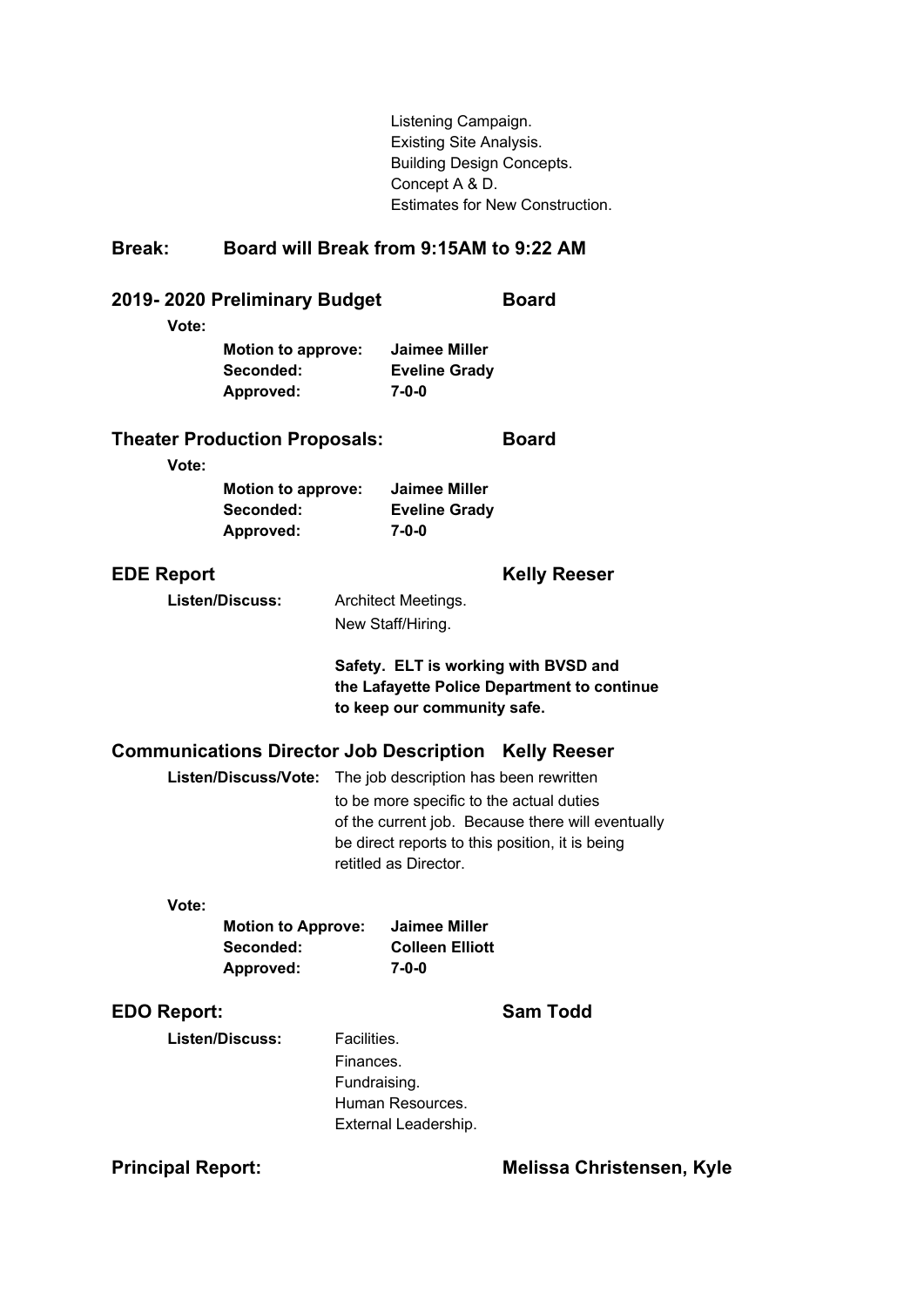Listening Campaign. Existing Site Analysis. Building Design Concepts. Concept A & D. Estimates for New Construction.

## **Break: Board will Break from 9:15AM to 9:22 AM**

| 2019-2020 Preliminary Budget<br>Vote:         |                                                     |                                          |                                                                                                             | <b>Board</b>                                                                                         |
|-----------------------------------------------|-----------------------------------------------------|------------------------------------------|-------------------------------------------------------------------------------------------------------------|------------------------------------------------------------------------------------------------------|
|                                               | <b>Motion to approve:</b><br>Seconded:<br>Approved: |                                          | <b>Jaimee Miller</b><br><b>Eveline Grady</b><br>7-0-0                                                       |                                                                                                      |
| <b>Theater Production Proposals:</b><br>Vote: |                                                     |                                          |                                                                                                             | <b>Board</b>                                                                                         |
|                                               | <b>Motion to approve:</b><br>Seconded:<br>Approved: |                                          | <b>Jaimee Miller</b><br><b>Eveline Grady</b><br>$7 - 0 - 0$                                                 |                                                                                                      |
| <b>EDE Report</b>                             |                                                     |                                          |                                                                                                             | <b>Kelly Reeser</b>                                                                                  |
| <b>Listen/Discuss:</b>                        |                                                     |                                          | Architect Meetings.<br>New Staff/Hiring.                                                                    |                                                                                                      |
|                                               |                                                     |                                          | to keep our community safe.                                                                                 | Safety. ELT is working with BVSD and<br>the Lafayette Police Department to continue                  |
|                                               |                                                     |                                          |                                                                                                             | <b>Communications Director Job Description Kelly Reeser</b>                                          |
|                                               | Listen/Discuss/Vote:                                |                                          | The job description has been rewritten<br>to be more specific to the actual duties<br>retitled as Director. | of the current job. Because there will eventually<br>be direct reports to this position, it is being |
| Vote:                                         |                                                     |                                          |                                                                                                             |                                                                                                      |
|                                               | <b>Motion to Approve:</b><br>Seconded:<br>Approved: |                                          | <b>Jaimee Miller</b><br><b>Colleen Elliott</b><br>7-0-0                                                     |                                                                                                      |
| <b>EDO Report:</b>                            |                                                     |                                          |                                                                                                             | <b>Sam Todd</b>                                                                                      |
|                                               | <b>Listen/Discuss:</b>                              | Facilities.<br>Finances.<br>Fundraising. | Human Resources.<br>External Leadership.                                                                    |                                                                                                      |
| <b>Principal Report:</b>                      |                                                     |                                          |                                                                                                             | <b>Melissa Christensen, Kyle</b>                                                                     |